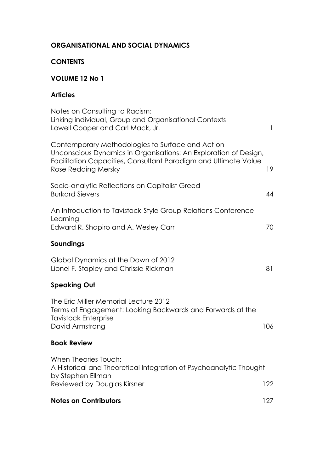## **ORGANISATIONAL AND SOCIAL DYNAMICS**

### **CONTENTS**

# **VOLUME 12 No 1**

## **Articles**

| Notes on Consulting to Racism:<br>Linking individual, Group and Organisational Contexts<br>Lowell Cooper and Carl Mack, Jr.                                                                                    | $\mathbf{1}$ |
|----------------------------------------------------------------------------------------------------------------------------------------------------------------------------------------------------------------|--------------|
| Contemporary Methodologies to Surface and Act on<br>Unconscious Dynamics in Organisations: An Exploration of Design,<br>Facilitation Capacities, Consultant Paradigm and Ultimate Value<br>Rose Redding Mersky | 19           |
| Socio-analytic Reflections on Capitalist Greed<br><b>Burkard Sievers</b>                                                                                                                                       | 44           |
| An Introduction to Tavistock-Style Group Relations Conference<br>Learning<br>Edward R. Shapiro and A. Wesley Carr                                                                                              | 70           |
| Soundings                                                                                                                                                                                                      |              |
| Global Dynamics at the Dawn of 2012<br>Lionel F. Stapley and Chrissie Rickman                                                                                                                                  | 81           |
| <b>Speaking Out</b>                                                                                                                                                                                            |              |
| The Eric Miller Memorial Lecture 2012<br>Terms of Engagement: Looking Backwards and Forwards at the<br><b>Tavistock Enterprise</b><br>David Armstrong                                                          | 106          |
| <b>Book Review</b>                                                                                                                                                                                             |              |
| When Theories Touch:<br>A Historical and Theoretical Integration of Psychoanalytic Thought<br>by Stephen Ellman                                                                                                |              |
| Reviewed by Douglas Kirsner                                                                                                                                                                                    | 122          |
| <b>Notes on Contributors</b>                                                                                                                                                                                   | 127          |